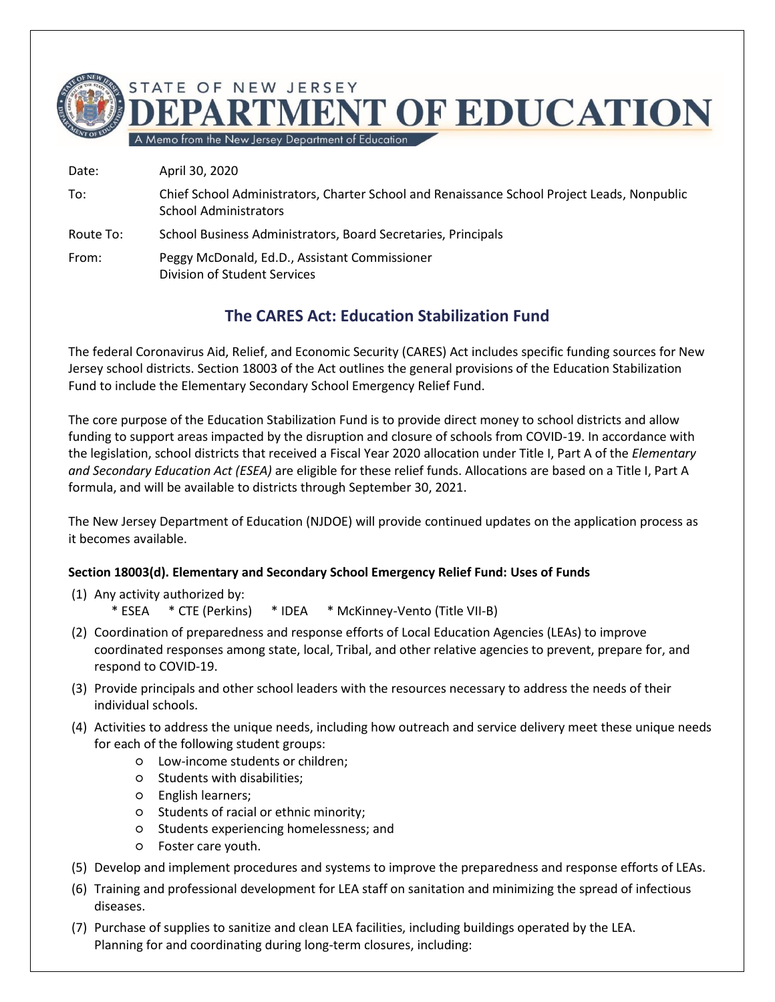

To: Chief School Administrators, Charter School and Renaissance School Project Leads, Nonpublic School Administrators

Route To: School Business Administrators, Board Secretaries, Principals

From: Peggy McDonald, Ed.D., Assistant Commissioner Division of Student Services

# **The CARES Act: Education Stabilization Fund**

The federal Coronavirus Aid, Relief, and Economic Security (CARES) Act includes specific funding sources for New Jersey school districts. Section 18003 of the Act outlines the general provisions of the Education Stabilization Fund to include the Elementary Secondary School Emergency Relief Fund.

The core purpose of the Education Stabilization Fund is to provide direct money to school districts and allow funding to support areas impacted by the disruption and closure of schools from COVID-19. In accordance with the legislation, school districts that received a Fiscal Year 2020 allocation under Title I, Part A of the *Elementary and Secondary Education Act (ESEA)* are eligible for these relief funds. Allocations are based on a Title I, Part A formula, and will be available to districts through September 30, 2021.

The New Jersey Department of Education (NJDOE) will provide continued updates on the application process as it becomes available.

#### **Section 18003(d). Elementary and Secondary School Emergency Relief Fund: Uses of Funds**

- (1) Any activity authorized by:
	- \* ESEA \* CTE (Perkins) \* IDEA \* McKinney-Vento (Title VII-B)
- (2) Coordination of preparedness and response efforts of Local Education Agencies (LEAs) to improve coordinated responses among state, local, Tribal, and other relative agencies to prevent, prepare for, and respond to COVID-19.
- (3) Provide principals and other school leaders with the resources necessary to address the needs of their individual schools.
- (4) Activities to address the unique needs, including how outreach and service delivery meet these unique needs for each of the following student groups:
	- Low-income students or children;
	- Students with disabilities;
	- English learners;
	- Students of racial or ethnic minority;
	- Students experiencing homelessness; and
	- Foster care youth.
- (5) Develop and implement procedures and systems to improve the preparedness and response efforts of LEAs.
- (6) Training and professional development for LEA staff on sanitation and minimizing the spread of infectious diseases.
- (7) Purchase of supplies to sanitize and clean LEA facilities, including buildings operated by the LEA. Planning for and coordinating during long-term closures, including: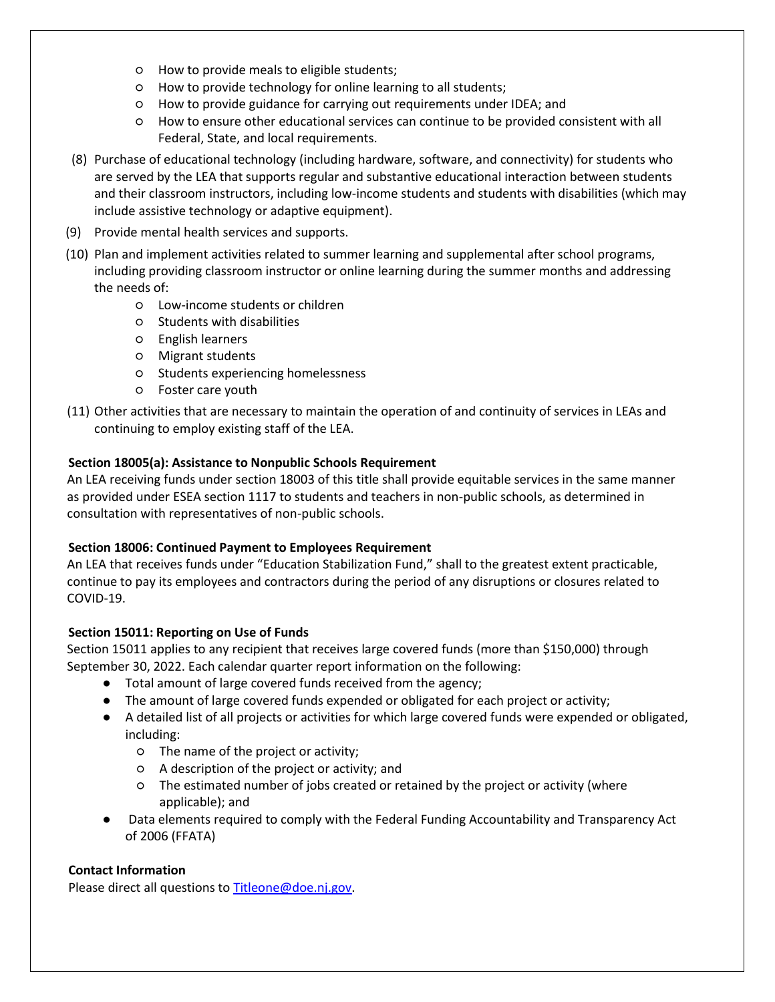- How to provide meals to eligible students;
- How to provide technology for online learning to all students;
- How to provide guidance for carrying out requirements under IDEA; and
- How to ensure other educational services can continue to be provided consistent with all Federal, State, and local requirements.
- (8) Purchase of educational technology (including hardware, software, and connectivity) for students who are served by the LEA that supports regular and substantive educational interaction between students and their classroom instructors, including low-income students and students with disabilities (which may include assistive technology or adaptive equipment).
- (9) Provide mental health services and supports.
- (10) Plan and implement activities related to summer learning and supplemental after school programs, including providing classroom instructor or online learning during the summer months and addressing the needs of:
	- Low-income students or children
	- Students with disabilities
	- English learners
	- Migrant students
	- Students experiencing homelessness
	- Foster care youth
- (11) Other activities that are necessary to maintain the operation of and continuity of services in LEAs and continuing to employ existing staff of the LEA.

### **Section 18005(a): Assistance to Nonpublic Schools Requirement**

An LEA receiving funds under section 18003 of this title shall provide equitable services in the same manner as provided under ESEA section 1117 to students and teachers in non-public schools, as determined in consultation with representatives of non-public schools.

#### **Section 18006: Continued Payment to Employees Requirement**

An LEA that receives funds under "Education Stabilization Fund," shall to the greatest extent practicable, continue to pay its employees and contractors during the period of any disruptions or closures related to COVID-19.

#### **Section 15011: Reporting on Use of Funds**

Section 15011 applies to any recipient that receives large covered funds (more than \$150,000) through September 30, 2022. Each calendar quarter report information on the following:

- Total amount of large covered funds received from the agency;
- The amount of large covered funds expended or obligated for each project or activity;
- A detailed list of all projects or activities for which large covered funds were expended or obligated, including:
	- The name of the project or activity;
	- A description of the project or activity; and
	- The estimated number of jobs created or retained by the project or activity (where applicable); and
- Data elements required to comply with the Federal Funding Accountability and Transparency Act of 2006 (FFATA)

## **Contact Information**

Please direct all questions to [Titleone@doe.nj.gov.](mailto:Titleone@doe.nj.gov)